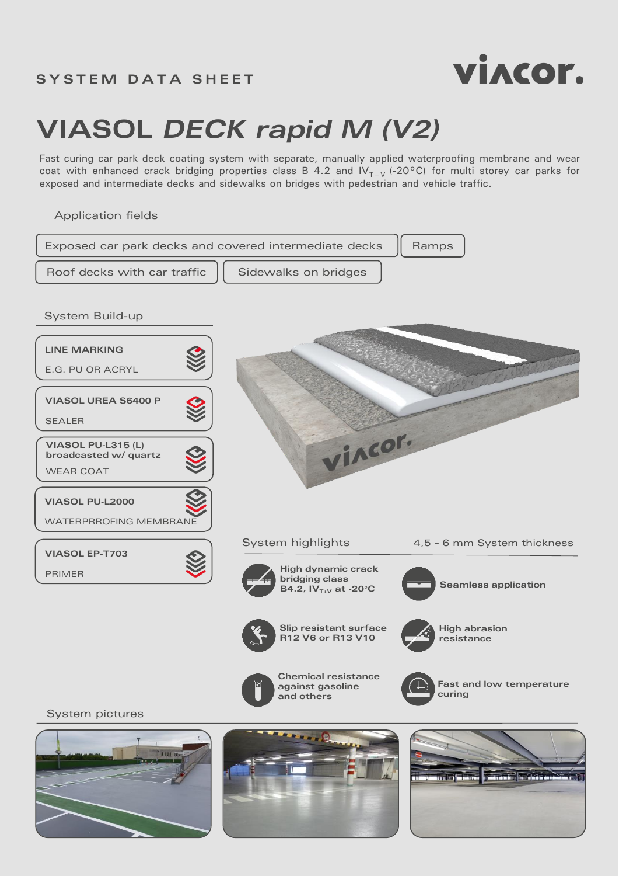

## **VIASOL** *DECK rapid M (V2)*

Fast curing car park deck coating system with separate, manually applied waterproofing membrane and wear coat with enhanced crack bridging properties class B 4.2 and  $IV_{T+V}$  (-20°C) for multi storey car parks for exposed and intermediate decks and sidewalks on bridges with pedestrian and vehicle traffic.